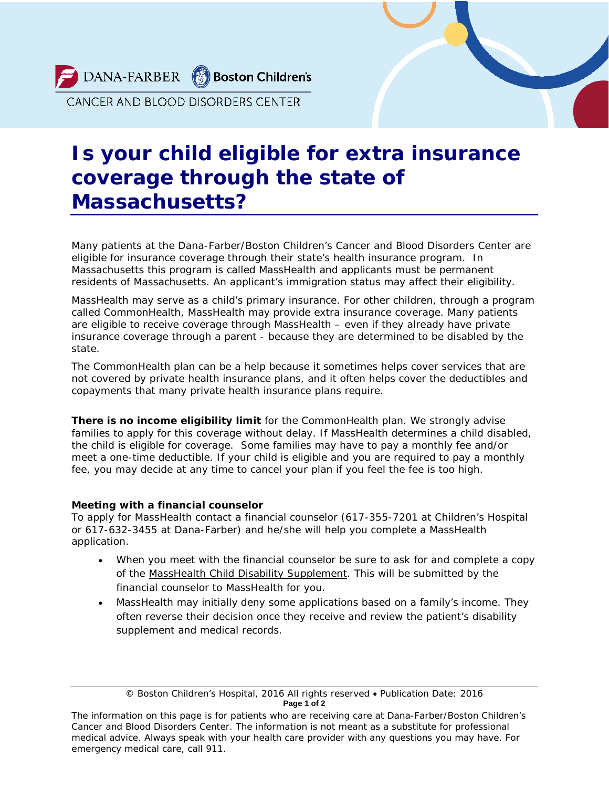DANA-FARBER Boston Children's

CANCER AND BLOOD DISORDERS CENTER

## **Is your child eligible for extra insurance coverage through the state of Massachusetts?**

Many patients at the Dana-Farber/Boston Children's Cancer and Blood Disorders Center are eligible for insurance coverage through their state's health insurance program. In Massachusetts this program is called MassHealth and applicants must be permanent residents of Massachusetts. An applicant's immigration status may affect their eligibility.

MassHealth may serve as a child's primary insurance. For other children, through a program called *CommonHealth*, MassHealth may provide extra insurance coverage. Many patients are eligible to receive coverage through MassHealth – even if they already have private insurance coverage through a parent - because they are determined to be disabled by the state.

The *CommonHealth* plan can be a help because it sometimes helps cover services that are not covered by private health insurance plans, and it often helps cover the deductibles and copayments that many private health insurance plans require.

**There is no income eligibility limit** for the *CommonHealth* plan. We strongly advise families to apply for this coverage without delay. If MassHealth determines a child disabled, the child is eligible for coverage. Some families may have to pay a monthly fee and/or meet a one-time deductible. If your child is eligible and you are required to pay a monthly fee, you may decide at any time to cancel your plan if you feel the fee is too high.

## **Meeting with a financial counselor**

To apply for MassHealth contact a financial counselor (617-355-7201 at Children's Hospital or 617-632-3455 at Dana-Farber) and he/she will help you complete a MassHealth application.

- When you meet with the financial counselor be sure to ask for and complete a copy of the MassHealth Child Disability Supplement. This will be submitted by the financial counselor to MassHealth for you.
- MassHealth may initially deny some applications based on a family's income. They often reverse their decision once they receive and review the patient's disability supplement and medical records.

<sup>©</sup> Boston Children's Hospital, 2016 All rights reserved • Publication Date: 2016 **Page 1 of 2**

*The information on this page is for patients who are receiving care at Dana-Farber/Boston Children's Cancer and Blood Disorders Center. The information is not meant as a substitute for professional medical advice. Always speak with your health care provider with any questions you may have. For emergency medical care, call 911.*